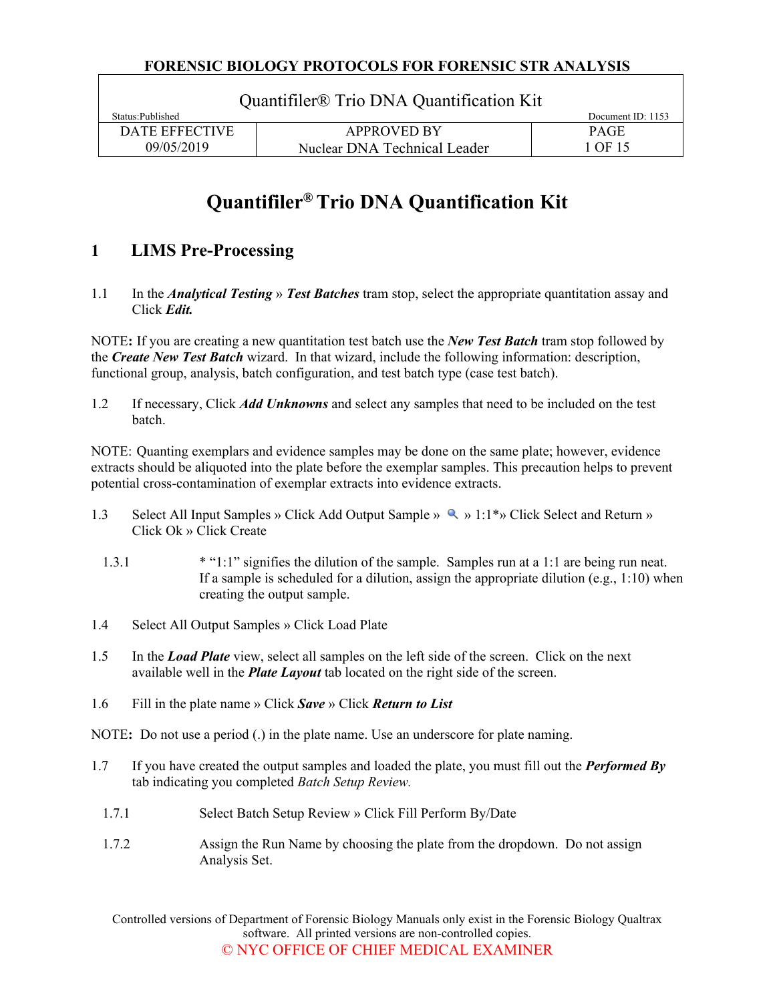| Quantifiler <sup>®</sup> Trio DNA Quantification Kit |                              |                     |  |  |
|------------------------------------------------------|------------------------------|---------------------|--|--|
| Status: Published                                    |                              | Document ID: $1153$ |  |  |
| DATE EFFECTIVE                                       | <b>APPROVED BY</b>           | <b>PAGE</b>         |  |  |
| 09/05/2019                                           | Nuclear DNA Technical Leader | 1 OF 15             |  |  |

# **Quantifiler® Trio DNA Quantification Kit**

# **1 LIMS Pre-Processing**

1.1 In the *Analytical Testing* » *Test Batches* tram stop, select the appropriate quantitation assay and Click *Edit.*

NOTE**:** If you are creating a new quantitation test batch use the *New Test Batch* tram stop followed by the *Create New Test Batch* wizard. In that wizard, include the following information: description, functional group, analysis, batch configuration, and test batch type (case test batch).

1.2 If necessary, Click *Add Unknowns* and select any samples that need to be included on the test batch.

NOTE: Quanting exemplars and evidence samples may be done on the same plate; however, evidence extracts should be aliquoted into the plate before the exemplar samples. This precaution helps to prevent potential cross-contamination of exemplar extracts into evidence extracts.

- 1.3 Select All Input Samples » Click Add Output Sample » (1.1\*) Click Select and Return » Click Ok » Click Create
	- 1.3.1 \* "1:1" signifies the dilution of the sample. Samples run at a 1:1 are being run neat. If a sample is scheduled for a dilution, assign the appropriate dilution (e.g.,  $1:10$ ) when creating the output sample.
- 1.4 Select All Output Samples » Click Load Plate
- 1.5 In the *Load Plate* view, select all samples on the left side of the screen. Click on the next available well in the *Plate Layout* tab located on the right side of the screen.
- 1.6 Fill in the plate name » Click *Save* » Click *Return to List*

NOTE**:** Do not use a period (.) in the plate name. Use an underscore for plate naming.

- 1.7 If you have created the output samples and loaded the plate, you must fill out the *Performed By* tab indicating you completed *Batch Setup Review.*
	- 1.7.1 Select Batch Setup Review » Click Fill Perform By/Date
	- 1.7.2 Assign the Run Name by choosing the plate from the dropdown. Do not assign Analysis Set.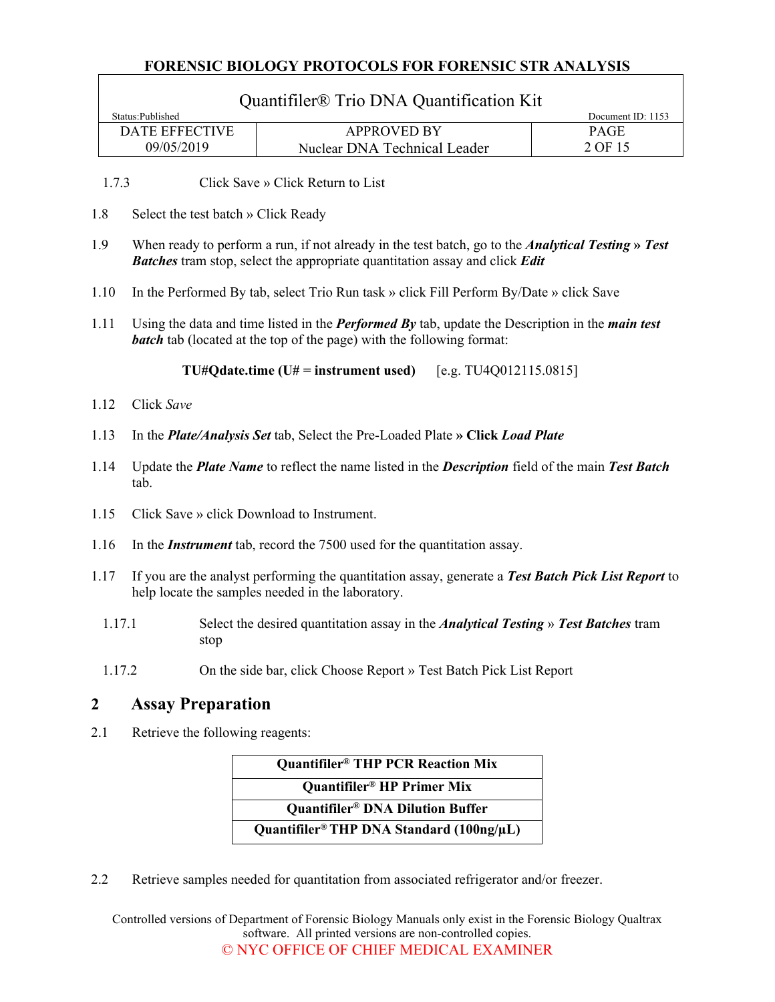$\Gamma$ 

|                  |                                                                                                                                                                                                       | Quantifiler <sup>®</sup> Trio DNA Quantification Kit                                                                                                                                                   |                           |  |
|------------------|-------------------------------------------------------------------------------------------------------------------------------------------------------------------------------------------------------|--------------------------------------------------------------------------------------------------------------------------------------------------------------------------------------------------------|---------------------------|--|
|                  | Status:Published<br><b>DATE EFFECTIVE</b>                                                                                                                                                             | <b>APPROVED BY</b>                                                                                                                                                                                     | Document ID: 1153<br>PAGE |  |
|                  | 09/05/2019                                                                                                                                                                                            | Nuclear DNA Technical Leader                                                                                                                                                                           | 2 OF 15                   |  |
|                  | 1.7.3                                                                                                                                                                                                 | Click Save » Click Return to List                                                                                                                                                                      |                           |  |
| 1.8              | Select the test batch » Click Ready                                                                                                                                                                   |                                                                                                                                                                                                        |                           |  |
| 1.9              |                                                                                                                                                                                                       | When ready to perform a run, if not already in the test batch, go to the <i>Analytical Testing</i> » Test<br><b>Batches</b> tram stop, select the appropriate quantitation assay and click <b>Edit</b> |                           |  |
|                  | 1.10                                                                                                                                                                                                  | In the Performed By tab, select Trio Run task » click Fill Perform By/Date » click Save                                                                                                                |                           |  |
|                  | 1.11<br>Using the data and time listed in the <b>Performed By</b> tab, update the Description in the <i>main test</i><br><b>batch</b> tab (located at the top of the page) with the following format: |                                                                                                                                                                                                        |                           |  |
|                  |                                                                                                                                                                                                       | $TU#Qdate.time(U# = instrument used)$<br>[e.g. TU4Q012115.0815]                                                                                                                                        |                           |  |
|                  | Click Save<br>1.12                                                                                                                                                                                    |                                                                                                                                                                                                        |                           |  |
|                  | 1.13<br>In the <i>Plate/Analysis Set</i> tab, Select the Pre-Loaded Plate » Click Load Plate                                                                                                          |                                                                                                                                                                                                        |                           |  |
|                  | 1.14<br>Update the <i>Plate Name</i> to reflect the name listed in the <i>Description</i> field of the main Test Batch<br>tab.                                                                        |                                                                                                                                                                                                        |                           |  |
|                  | 1.15                                                                                                                                                                                                  | Click Save » click Download to Instrument.                                                                                                                                                             |                           |  |
|                  | 1.16                                                                                                                                                                                                  | In the <i>Instrument</i> tab, record the 7500 used for the quantitation assay.                                                                                                                         |                           |  |
|                  | If you are the analyst performing the quantitation assay, generate a Test Batch Pick List Report to<br>1.17<br>help locate the samples needed in the laboratory.                                      |                                                                                                                                                                                                        |                           |  |
|                  | 1.17.1<br>Select the desired quantitation assay in the <i>Analytical Testing</i> » Test Batches tram<br>stop                                                                                          |                                                                                                                                                                                                        |                           |  |
|                  | 1.17.2                                                                                                                                                                                                | On the side bar, click Choose Report » Test Batch Pick List Report                                                                                                                                     |                           |  |
| $\boldsymbol{2}$ | <b>Assay Preparation</b>                                                                                                                                                                              |                                                                                                                                                                                                        |                           |  |
| 2.1              | Retrieve the following reagents:                                                                                                                                                                      |                                                                                                                                                                                                        |                           |  |
|                  |                                                                                                                                                                                                       | <b>Ouantifiler<sup>®</sup></b> THP PCR Reaction Mix                                                                                                                                                    |                           |  |

| <b>Ouantifiler<sup>®</sup> THP PCR Reaction Mix</b>       |
|-----------------------------------------------------------|
| <b>Ouantifiler<sup>®</sup></b> HP Primer Mix              |
| <b>Quantifiler® DNA Dilution Buffer</b>                   |
| Quantifiler <sup>®</sup> THP DNA Standard $(100ng/\mu L)$ |

2.2 Retrieve samples needed for quantitation from associated refrigerator and/or freezer.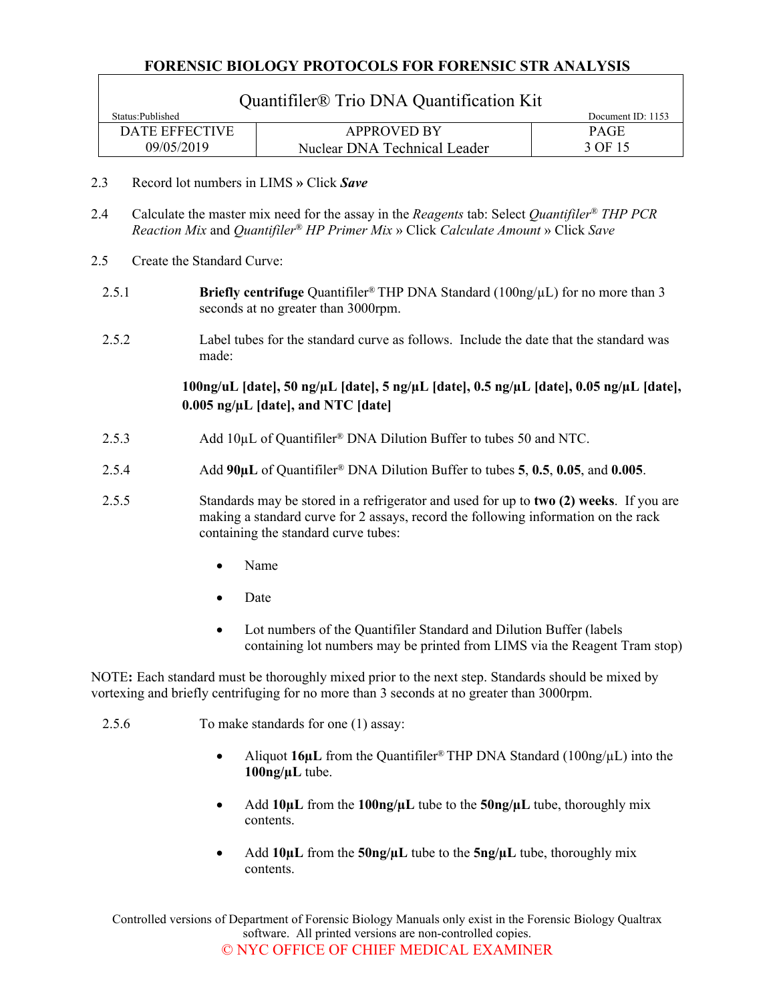| Quantifiler <sup>®</sup> Trio DNA Quantification Kit |                              |                   |  |
|------------------------------------------------------|------------------------------|-------------------|--|
| Status: Published                                    |                              | Document ID: 1153 |  |
| DATE EFFECTIVE                                       | <b>APPROVED BY</b>           | <b>PAGE</b>       |  |
| 09/05/2019                                           | Nuclear DNA Technical Leader | 3 OF 15           |  |

- 2.3 Record lot numbers in LIMS **»** Click *Save*
- 2.4 Calculate the master mix need for the assay in the *Reagents* tab: Select *Quantifiler® THP PCR Reaction Mix* and *Quantifiler® HP Primer Mix* » Click *Calculate Amount* » Click *Save*
- 2.5 Create the Standard Curve:
	- 2.5.1 **Briefly centrifuge** Quantifiler<sup>®</sup> THP DNA Standard (100ng/µL) for no more than 3 seconds at no greater than 3000rpm.
	- 2.5.2 Label tubes for the standard curve as follows. Include the date that the standard was made:

**100ng/uL [date], 50 ng/µL [date], 5 ng/µL [date], 0.5 ng/µL [date], 0.05 ng/µL [date], 0.005 ng/µL [date], and NTC [date]**

- 2.5.3 Add 10µL of Quantifiler<sup>®</sup> DNA Dilution Buffer to tubes 50 and NTC.
- 2.5.4 Add **90µL** of Quantifiler® DNA Dilution Buffer to tubes **5**, **0.5**, **0.05**, and **0.005**.
- 2.5.5 Standards may be stored in a refrigerator and used for up to **two (2) weeks**. If you are making a standard curve for 2 assays, record the following information on the rack containing the standard curve tubes:
	- Name
	- Date
	- Lot numbers of the Quantifiler Standard and Dilution Buffer (labels containing lot numbers may be printed from LIMS via the Reagent Tram stop)

NOTE**:** Each standard must be thoroughly mixed prior to the next step. Standards should be mixed by vortexing and briefly centrifuging for no more than 3 seconds at no greater than 3000rpm.

- 2.5.6 To make standards for one (1) assay:
	- Aliquot **16µL** from the Quantifiler® THP DNA Standard (100ng/µL) into the **100ng/µL** tube.
	- Add **10µL** from the **100ng/µL** tube to the **50ng/µL** tube, thoroughly mix contents.
	- Add **10µL** from the **50ng/µL** tube to the **5ng/µL** tube, thoroughly mix contents.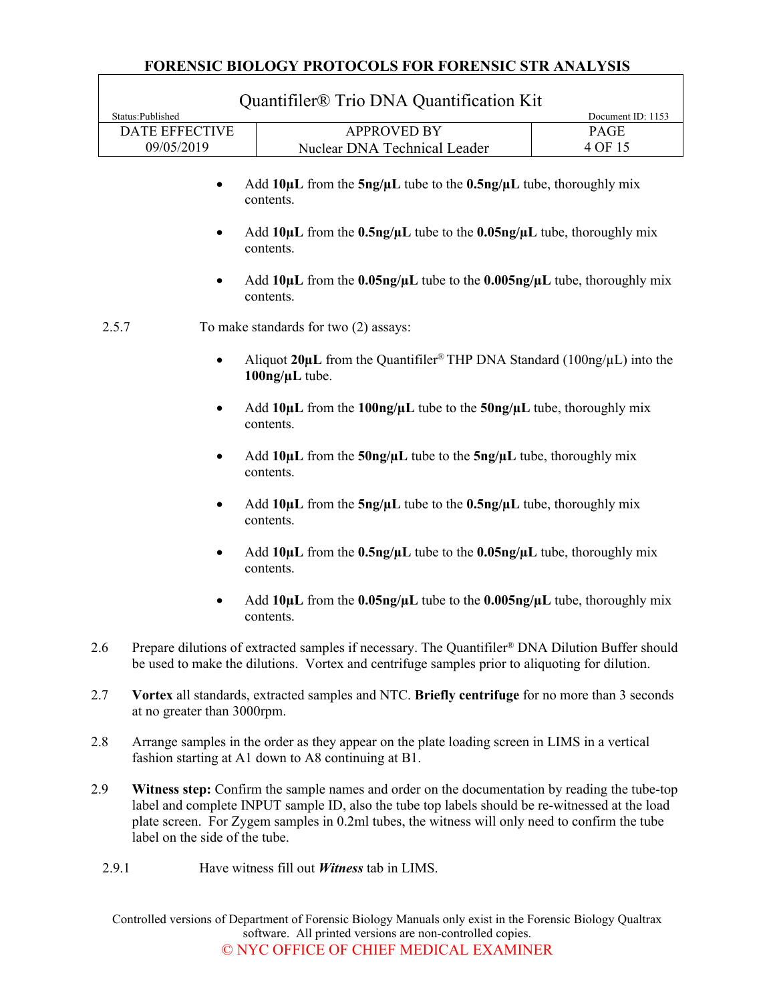|                  |                                                                                                               | Quantifiler <sup>®</sup> Trio DNA Quantification Kit                                                                                                                                               |                   |
|------------------|---------------------------------------------------------------------------------------------------------------|----------------------------------------------------------------------------------------------------------------------------------------------------------------------------------------------------|-------------------|
| Status:Published |                                                                                                               |                                                                                                                                                                                                    | Document ID: 1153 |
|                  | <b>DATE EFFECTIVE</b>                                                                                         | <b>APPROVED BY</b>                                                                                                                                                                                 | PAGE              |
|                  | 09/05/2019                                                                                                    | Nuclear DNA Technical Leader                                                                                                                                                                       | 4 OF 15           |
|                  |                                                                                                               | Add $10\mu L$ from the $5ng/\mu L$ tube to the $0.5ng/\mu L$ tube, thoroughly mix<br>contents.                                                                                                     |                   |
|                  | ٠                                                                                                             | Add $10\mu$ L from the $0.5\text{ng}/\mu$ L tube to the $0.05\text{ng}/\mu$ L tube, thoroughly mix<br>contents.                                                                                    |                   |
|                  |                                                                                                               | Add $10\mu$ L from the 0.05ng/ $\mu$ L tube to the 0.005ng/ $\mu$ L tube, thoroughly mix<br>contents.                                                                                              |                   |
| 2.5.7            |                                                                                                               | To make standards for two (2) assays:                                                                                                                                                              |                   |
|                  |                                                                                                               | Aliquot 20 $\mu$ L from the Quantifiler <sup>®</sup> THP DNA Standard (100ng/ $\mu$ L) into the<br>$100$ ng/ $\mu$ L tube.                                                                         |                   |
|                  | Add $10\mu$ L from the $100\text{ng}/\mu$ L tube to the $50\text{ng}/\mu$ L tube, thoroughly mix<br>contents. |                                                                                                                                                                                                    |                   |
|                  | ٠                                                                                                             | Add $10\mu L$ from the $50\text{ng}/\mu L$ tube to the $5\text{ng}/\mu L$ tube, thoroughly mix<br>contents.                                                                                        |                   |
|                  | Add $10\mu$ L from the $5ng/\mu$ L tube to the $0.5ng/\mu$ L tube, thoroughly mix<br>contents.                |                                                                                                                                                                                                    |                   |
|                  | ٠                                                                                                             | Add $10\mu$ L from the $0.5\text{ng}/\mu$ L tube to the $0.05\text{ng}/\mu$ L tube, thoroughly mix<br>contents.                                                                                    |                   |
|                  |                                                                                                               | Add $10\mu$ L from the 0.05ng/ $\mu$ L tube to the 0.005ng/ $\mu$ L tube, thoroughly mix<br>contents.                                                                                              |                   |
| 2.6              |                                                                                                               | Prepare dilutions of extracted samples if necessary. The Quantifiler® DNA Dilution Buffer should<br>be used to make the dilutions. Vortex and centrifuge samples prior to aliquoting for dilution. |                   |
| 2.7              | at no greater than 3000rpm.                                                                                   | Vortex all standards, extracted samples and NTC. Briefly centrifuge for no more than 3 seconds                                                                                                     |                   |
| 2.8              |                                                                                                               | Arrange samples in the order as they appear on the plate loading screen in LIMS in a vertical<br>fashion starting at A1 down to A8 continuing at B1.                                               |                   |
| 2.9              |                                                                                                               | Witness step: Confirm the sample names and order on the documentation by reading the tube-top                                                                                                      |                   |

- label and complete INPUT sample ID, also the tube top labels should be re-witnessed at the load plate screen. For Zygem samples in 0.2ml tubes, the witness will only need to confirm the tube label on the side of the tube.
- 2.9.1 Have witness fill out *Witness* tab in LIMS.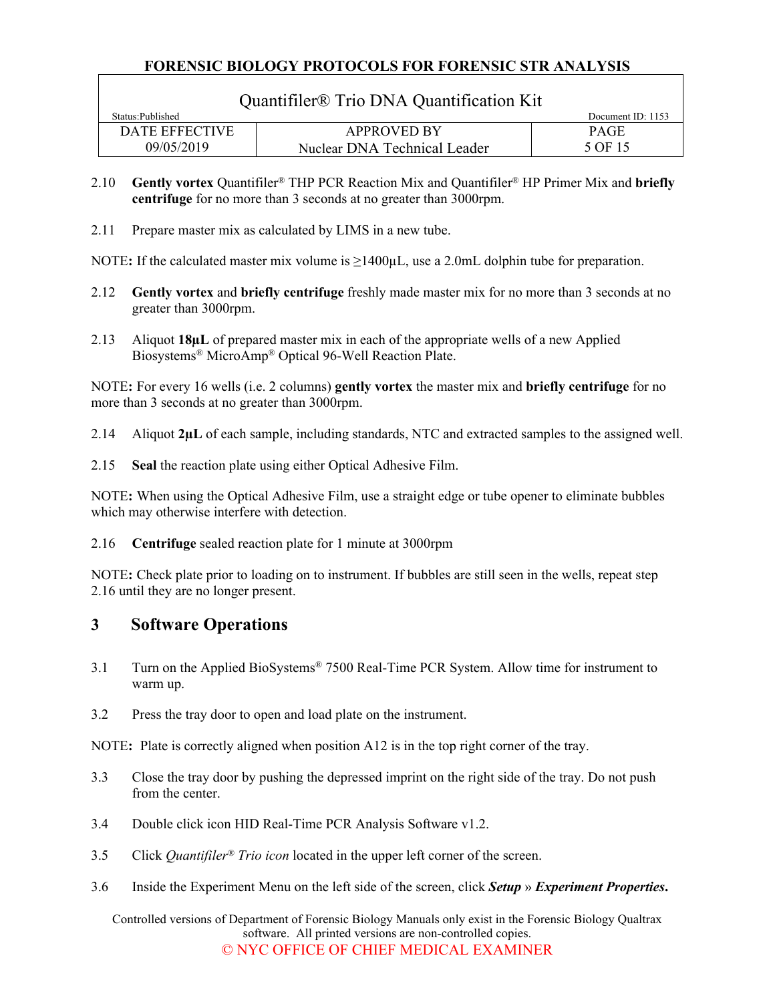| Quantifiler <sup>®</sup> Trio DNA Quantification Kit |                              |             |  |
|------------------------------------------------------|------------------------------|-------------|--|
| Status: Published                                    | Document ID: 1153            |             |  |
| DATE EFFECTIVE                                       | <b>APPROVED BY</b>           | <b>PAGE</b> |  |
| 09/05/2019                                           | Nuclear DNA Technical Leader | 5 OF 15     |  |

- 2.10 **Gently vortex** Quantifiler® THP PCR Reaction Mix and Quantifiler® HP Primer Mix and **briefly centrifuge** for no more than 3 seconds at no greater than 3000rpm.
- 2.11 Prepare master mix as calculated by LIMS in a new tube.

NOTE: If the calculated master mix volume is ≥1400µL, use a 2.0mL dolphin tube for preparation.

- 2.12 **Gently vortex** and **briefly centrifuge** freshly made master mix for no more than 3 seconds at no greater than 3000rpm.
- 2.13 Aliquot **18µL** of prepared master mix in each of the appropriate wells of a new Applied Biosystems® MicroAmp® Optical 96-Well Reaction Plate.

NOTE**:** For every 16 wells (i.e. 2 columns) **gently vortex** the master mix and **briefly centrifuge** for no more than 3 seconds at no greater than 3000rpm.

2.14 Aliquot **2µL** of each sample, including standards, NTC and extracted samples to the assigned well.

2.15 **Seal** the reaction plate using either Optical Adhesive Film.

NOTE**:** When using the Optical Adhesive Film, use a straight edge or tube opener to eliminate bubbles which may otherwise interfere with detection.

<span id="page-4-0"></span>2.16 **Centrifuge** sealed reaction plate for 1 minute at 3000rpm

NOTE**:** Check plate prior to loading on to instrument. If bubbles are still seen in the wells, repeat step [2.16](#page-4-0) until they are no longer present.

# **3 Software Operations**

- 3.1 Turn on the Applied BioSystems® 7500 Real-Time PCR System. Allow time for instrument to warm up.
- 3.2 Press the tray door to open and load plate on the instrument.

NOTE: Plate is correctly aligned when position A12 is in the top right corner of the tray.

- 3.3 Close the tray door by pushing the depressed imprint on the right side of the tray. Do not push from the center.
- 3.4 Double click icon HID Real-Time PCR Analysis Software v1.2.
- 3.5 Click *Quantifiler® Trio icon* located in the upper left corner of the screen.
- 3.6 Inside the Experiment Menu on the left side of the screen, click *Setup* » *Experiment Properties***.**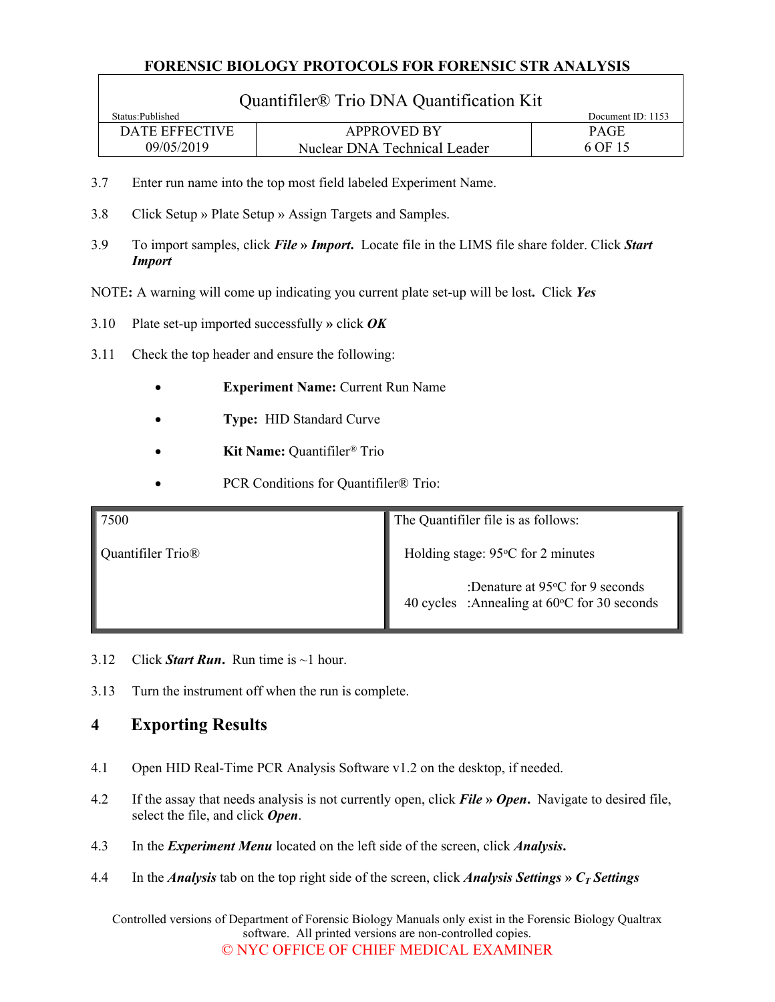| Quantifiler <sup>®</sup> Trio DNA Quantification Kit |                              |                   |  |
|------------------------------------------------------|------------------------------|-------------------|--|
| Status: Published                                    |                              | Document ID: 1153 |  |
| DATE EFFECTIVE                                       | <b>APPROVED BY</b>           | <b>PAGE</b>       |  |
| 09/05/2019                                           | Nuclear DNA Technical Leader | 6 OF 15           |  |

- 3.7 Enter run name into the top most field labeled Experiment Name.
- 3.8 Click Setup » Plate Setup » Assign Targets and Samples.
- 3.9 To import samples, click *File* **»** *Import***.** Locate file in the LIMS file share folder. Click *Start Import*
- NOTE**:** A warning will come up indicating you current plate set-up will be lost**.** Click *Yes*
- 3.10 Plate set-up imported successfully **»** click *OK*
- 3.11 Check the top header and ensure the following:
	- **Experiment Name:** Current Run Name
	- **Type:** HID Standard Curve
	- **Kit Name:** Quantifiler*®* Trio
	- PCR Conditions for Quantifiler® Trio:

| $\vert$ 7500                  | The Quantifiler file is as follows:                                                      |  |
|-------------------------------|------------------------------------------------------------------------------------------|--|
| Quantifiler Trio <sup>®</sup> | Holding stage: $95^{\circ}$ C for 2 minutes                                              |  |
|                               | :Denature at $95^{\circ}$ C for 9 seconds<br>40 cycles :Annealing at 60°C for 30 seconds |  |

- 3.12 Click **Start Run.** Run time is  $\sim$ 1 hour.
- 3.13 Turn the instrument off when the run is complete.

# **4 Exporting Results**

- 4.1 Open HID Real-Time PCR Analysis Software v1.2 on the desktop, if needed.
- 4.2 If the assay that needs analysis is not currently open, click *File* **»** *Open***.** Navigate to desired file, select the file, and click *Open*.
- 4.3 In the *Experiment Menu* located on the left side of the screen, click *Analysis***.**
- 4.4 In the *Analysis* tab on the top right side of the screen, click *Analysis Settings* **»** *CT Settings*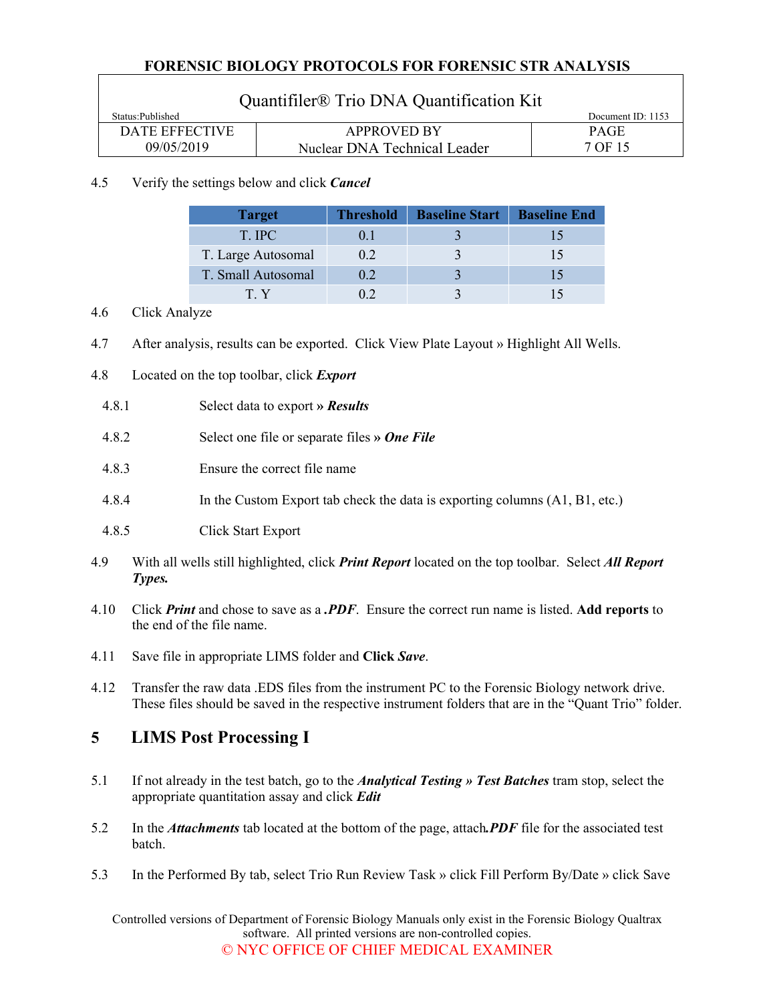| Quantifiler <sup>®</sup> Trio DNA Quantification Kit |                              |                   |  |
|------------------------------------------------------|------------------------------|-------------------|--|
| Status: Published                                    |                              | Document ID: 1153 |  |
| DATE EFFECTIVE                                       | <b>APPROVED BY</b>           | <b>PAGE</b>       |  |
| 09/05/2019                                           | Nuclear DNA Technical Leader | 7 OF 15           |  |

#### 4.5 Verify the settings below and click *Cancel*

| <b>Target</b>      | <b>Threshold</b> | <b>Baseline Start</b>   Baseline End |  |
|--------------------|------------------|--------------------------------------|--|
| T. IPC             | 0 <sub>1</sub>   |                                      |  |
| T. Large Autosomal | 0.2              |                                      |  |
| T. Small Autosomal | 0.2              |                                      |  |
| ΤY                 |                  |                                      |  |

#### 4.6 Click Analyze

- 4.7 After analysis, results can be exported. Click View Plate Layout » Highlight All Wells.
- 4.8 Located on the top toolbar, click *Export* 
	- 4.8.1 Select data to export **»** *Results*
	- 4.8.2 Select one file or separate files **»** *One File*
	- 4.8.3 Ensure the correct file name
	- 4.8.4 In the Custom Export tab check the data is exporting columns (A1, B1, etc.)
	- 4.8.5 Click Start Export
- 4.9 With all wells still highlighted, click *Print Report* located on the top toolbar. Select *All Report Types.*
- 4.10 Click *Print* and chose to save as a *.PDF*. Ensure the correct run name is listed. **Add reports** to the end of the file name.
- 4.11 Save file in appropriate LIMS folder and **Click** *Save*.
- 4.12 Transfer the raw data .EDS files from the instrument PC to the Forensic Biology network drive. These files should be saved in the respective instrument folders that are in the "Quant Trio" folder.

# **5 LIMS Post Processing I**

- 5.1 If not already in the test batch, go to the *Analytical Testing » Test Batches* tram stop, select the appropriate quantitation assay and click *Edit*
- 5.2 In the *Attachments* tab located at the bottom of the page, attach*.PDF* file for the associated test batch.
- 5.3 In the Performed By tab, select Trio Run Review Task » click Fill Perform By/Date » click Save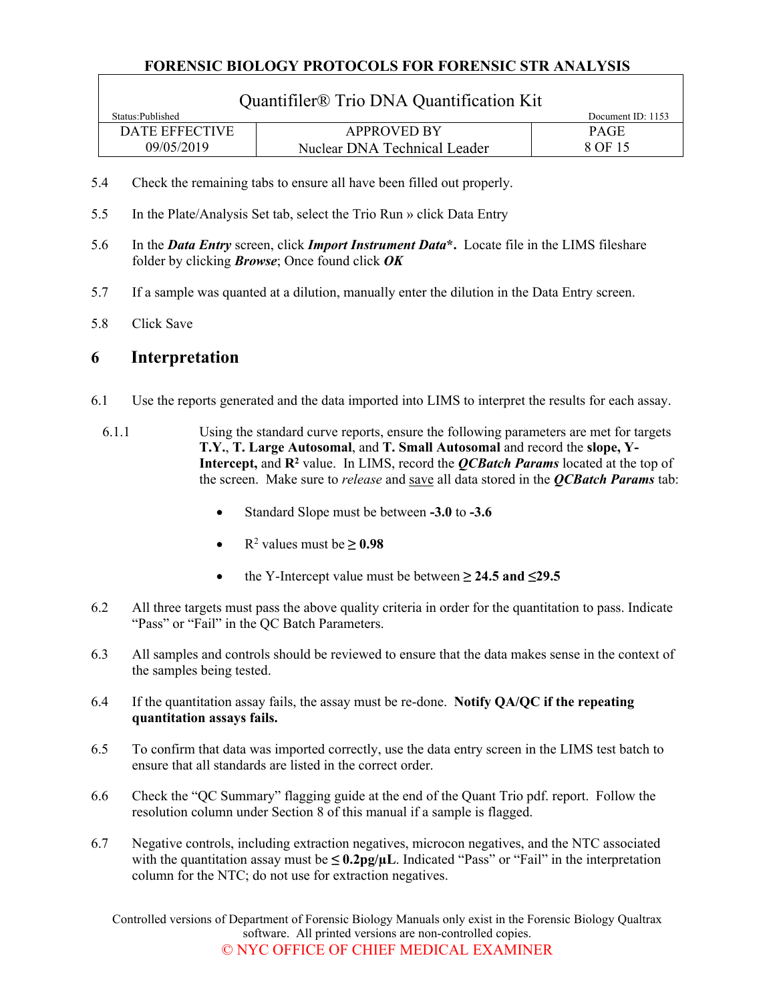| Quantifiler <sup>®</sup> Trio DNA Quantification Kit |                              |                   |  |
|------------------------------------------------------|------------------------------|-------------------|--|
| Status: Published                                    |                              | Document ID: 1153 |  |
| <b>DATE EFFECTIVE</b>                                | <b>APPROVED BY</b>           | <b>PAGE</b>       |  |
| 09/05/2019                                           | Nuclear DNA Technical Leader | 8 OF 15           |  |

- 5.4 Check the remaining tabs to ensure all have been filled out properly.
- 5.5 In the Plate/Analysis Set tab, select the Trio Run » click Data Entry
- 5.6 In the *Data Entry* screen, click *Import Instrument Data***\*.** Locate file in the LIMS fileshare folder by clicking *Browse*; Once found click *OK*
- 5.7 If a sample was quanted at a dilution, manually enter the dilution in the Data Entry screen.
- 5.8 Click Save

# **6 Interpretation**

- 6.1 Use the reports generated and the data imported into LIMS to interpret the results for each assay.
	- 6.1.1 Using the standard curve reports, ensure the following parameters are met for targets **T.Y.**, **T. Large Autosomal**, and **T. Small Autosomal** and record the **slope, Y-**Intercept, and  $\mathbb{R}^2$  value. In LIMS, record the *QCBatch Params* located at the top of the screen. Make sure to *release* and save all data stored in the *QCBatch Params* tab:
		- Standard Slope must be between **-3.0** to **-3.6**
		- $R^2$  values must be  $\geq 0.98$
		- the Y-Intercept value must be between **≥ 24.5 and ≤29.5**
- 6.2 All three targets must pass the above quality criteria in order for the quantitation to pass. Indicate "Pass" or "Fail" in the QC Batch Parameters.
- 6.3 All samples and controls should be reviewed to ensure that the data makes sense in the context of the samples being tested.
- 6.4 If the quantitation assay fails, the assay must be re-done. **Notify QA/QC if the repeating quantitation assays fails.**
- 6.5 To confirm that data was imported correctly, use the data entry screen in the LIMS test batch to ensure that all standards are listed in the correct order.
- 6.6 Check the "QC Summary" flagging guide at the end of the Quant Trio pdf. report. Follow the resolution column under Section 8 of this manual if a sample is flagged.
- 6.7 Negative controls, including extraction negatives, microcon negatives, and the NTC associated with the quantitation assay must be  $\leq 0.2$ pg/ $\mu$ L. Indicated "Pass" or "Fail" in the interpretation column for the NTC; do not use for extraction negatives.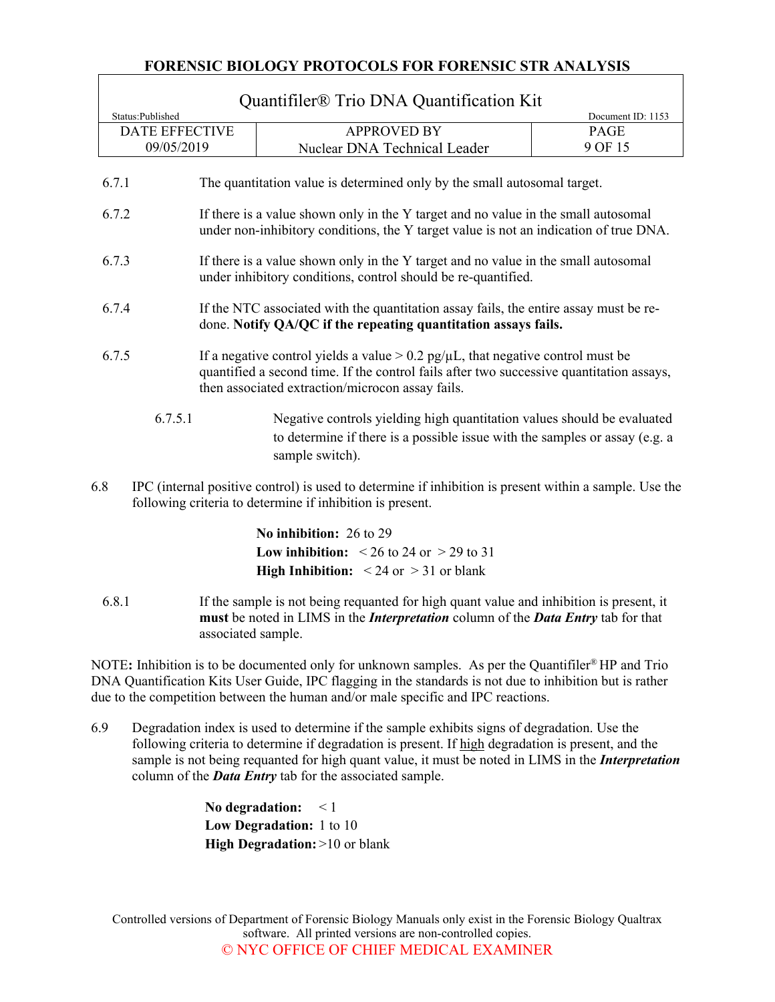$\sqrt{ }$ 

|                                                                                                                                                                                      |                                                                                                                                                                            | Quantifiler <sup>®</sup> Trio DNA Quantification Kit                                                                                                                                                                                    |                   |
|--------------------------------------------------------------------------------------------------------------------------------------------------------------------------------------|----------------------------------------------------------------------------------------------------------------------------------------------------------------------------|-----------------------------------------------------------------------------------------------------------------------------------------------------------------------------------------------------------------------------------------|-------------------|
|                                                                                                                                                                                      | Status:Published                                                                                                                                                           |                                                                                                                                                                                                                                         | Document ID: 1153 |
|                                                                                                                                                                                      | <b>DATE EFFECTIVE</b>                                                                                                                                                      | <b>APPROVED BY</b>                                                                                                                                                                                                                      | PAGE              |
|                                                                                                                                                                                      | 09/05/2019                                                                                                                                                                 | Nuclear DNA Technical Leader                                                                                                                                                                                                            | 9 OF 15           |
|                                                                                                                                                                                      | 6.7.1                                                                                                                                                                      | The quantitation value is determined only by the small autosomal target.                                                                                                                                                                |                   |
| 6.7.2<br>If there is a value shown only in the Y target and no value in the small autosomal<br>under non-inhibitory conditions, the Y target value is not an indication of true DNA. |                                                                                                                                                                            |                                                                                                                                                                                                                                         |                   |
| 6.7.3<br>If there is a value shown only in the Y target and no value in the small autosomal<br>under inhibitory conditions, control should be re-quantified.                         |                                                                                                                                                                            |                                                                                                                                                                                                                                         |                   |
| If the NTC associated with the quantitation assay fails, the entire assay must be re-<br>6.7.4<br>done. Notify QA/QC if the repeating quantitation assays fails.                     |                                                                                                                                                                            |                                                                                                                                                                                                                                         |                   |
| 6.7.5                                                                                                                                                                                |                                                                                                                                                                            | If a negative control yields a value $> 0.2$ pg/ $\mu$ L, that negative control must be<br>quantified a second time. If the control fails after two successive quantitation assays,<br>then associated extraction/microcon assay fails. |                   |
|                                                                                                                                                                                      | 6.7.5.1                                                                                                                                                                    | Negative controls yielding high quantitation values should be evaluated<br>to determine if there is a possible issue with the samples or assay (e.g. a<br>sample switch).                                                               |                   |
|                                                                                                                                                                                      | 6.8<br>IPC (internal positive control) is used to determine if inhibition is present within a sample. Use the<br>following criteria to determine if inhibition is present. |                                                                                                                                                                                                                                         |                   |
|                                                                                                                                                                                      |                                                                                                                                                                            | <b>TT &amp; TATALA</b>                                                                                                                                                                                                                  |                   |

**No inhibition:** 26 to 29 **Low inhibition:**  $\leq 26$  to 24 or  $\geq 29$  to 31 **High Inhibition:** < 24 or > 31 or blank

6.8.1 If the sample is not being requanted for high quant value and inhibition is present, it **must** be noted in LIMS in the *Interpretation* column of the *Data Entry* tab for that associated sample.

NOTE: Inhibition is to be documented only for unknown samples. As per the Quantifiler<sup>®</sup> HP and Trio DNA Quantification Kits User Guide, IPC flagging in the standards is not due to inhibition but is rather due to the competition between the human and/or male specific and IPC reactions.

6.9 Degradation index is used to determine if the sample exhibits signs of degradation. Use the following criteria to determine if degradation is present. If high degradation is present, and the sample is not being requanted for high quant value, it must be noted in LIMS in the *Interpretation* column of the *Data Entry* tab for the associated sample.

> **No degradation:** < 1 **Low Degradation:** 1 to 10 **High Degradation:** >10 or blank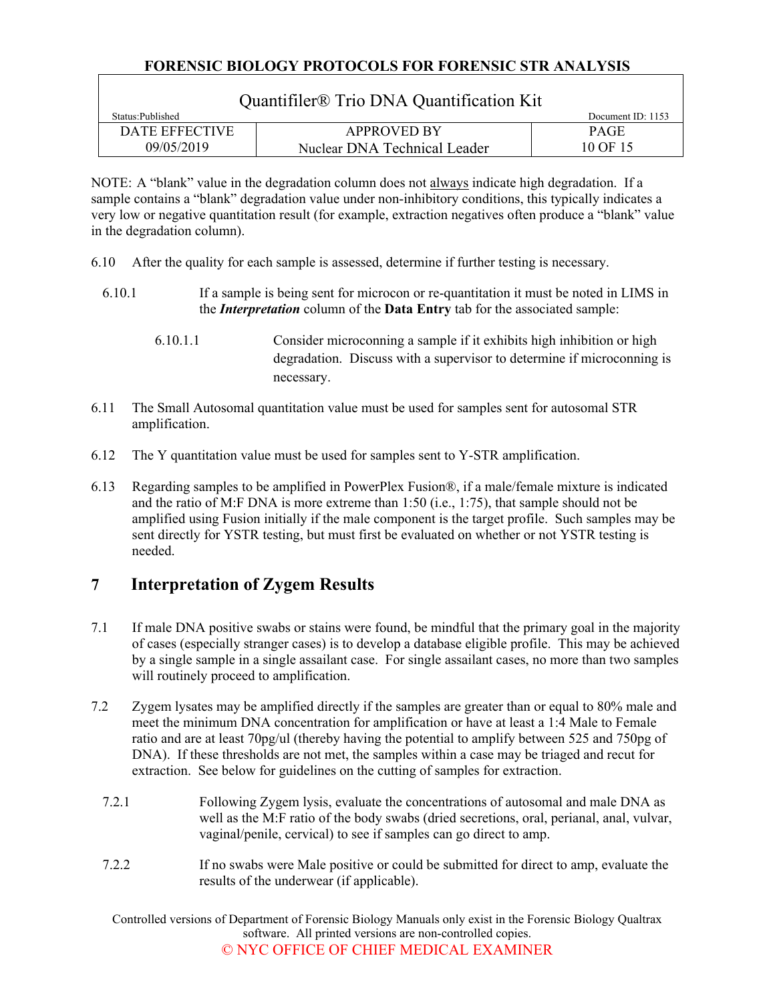| Quantifiler <sup>®</sup> Trio DNA Quantification Kit |                              |             |  |  |
|------------------------------------------------------|------------------------------|-------------|--|--|
| Status:Published                                     | Document ID: $1153$          |             |  |  |
| DATE EFFECTIVE                                       | <b>APPROVED BY</b>           | <b>PAGE</b> |  |  |
| 09/05/2019                                           | Nuclear DNA Technical Leader | 10 OF 15    |  |  |

NOTE: A "blank" value in the degradation column does not always indicate high degradation. If a sample contains a "blank" degradation value under non-inhibitory conditions, this typically indicates a very low or negative quantitation result (for example, extraction negatives often produce a "blank" value in the degradation column).

- 6.10 After the quality for each sample is assessed, determine if further testing is necessary.
	- 6.10.1 If a sample is being sent for microcon or re-quantitation it must be noted in LIMS in the *Interpretation* column of the **Data Entry** tab for the associated sample:
		- 6.10.1.1 Consider microconning a sample if it exhibits high inhibition or high degradation. Discuss with a supervisor to determine if microconning is necessary.
- 6.11 The Small Autosomal quantitation value must be used for samples sent for autosomal STR amplification.
- 6.12 The Y quantitation value must be used for samples sent to Y-STR amplification.
- 6.13 Regarding samples to be amplified in PowerPlex Fusion®, if a male/female mixture is indicated and the ratio of M:F DNA is more extreme than 1:50 (i.e., 1:75), that sample should not be amplified using Fusion initially if the male component is the target profile. Such samples may be sent directly for YSTR testing, but must first be evaluated on whether or not YSTR testing is needed.

# **7 Interpretation of Zygem Results**

- 7.1 If male DNA positive swabs or stains were found, be mindful that the primary goal in the majority of cases (especially stranger cases) is to develop a database eligible profile. This may be achieved by a single sample in a single assailant case. For single assailant cases, no more than two samples will routinely proceed to amplification.
- 7.2 Zygem lysates may be amplified directly if the samples are greater than or equal to 80% male and meet the minimum DNA concentration for amplification or have at least a 1:4 Male to Female ratio and are at least 70pg/ul (thereby having the potential to amplify between 525 and 750pg of DNA). If these thresholds are not met, the samples within a case may be triaged and recut for extraction. See below for guidelines on the cutting of samples for extraction.
	- 7.2.1 Following Zygem lysis, evaluate the concentrations of autosomal and male DNA as well as the M:F ratio of the body swabs (dried secretions, oral, perianal, anal, vulvar, vaginal/penile, cervical) to see if samples can go direct to amp.
	- 7.2.2 If no swabs were Male positive or could be submitted for direct to amp, evaluate the results of the underwear (if applicable).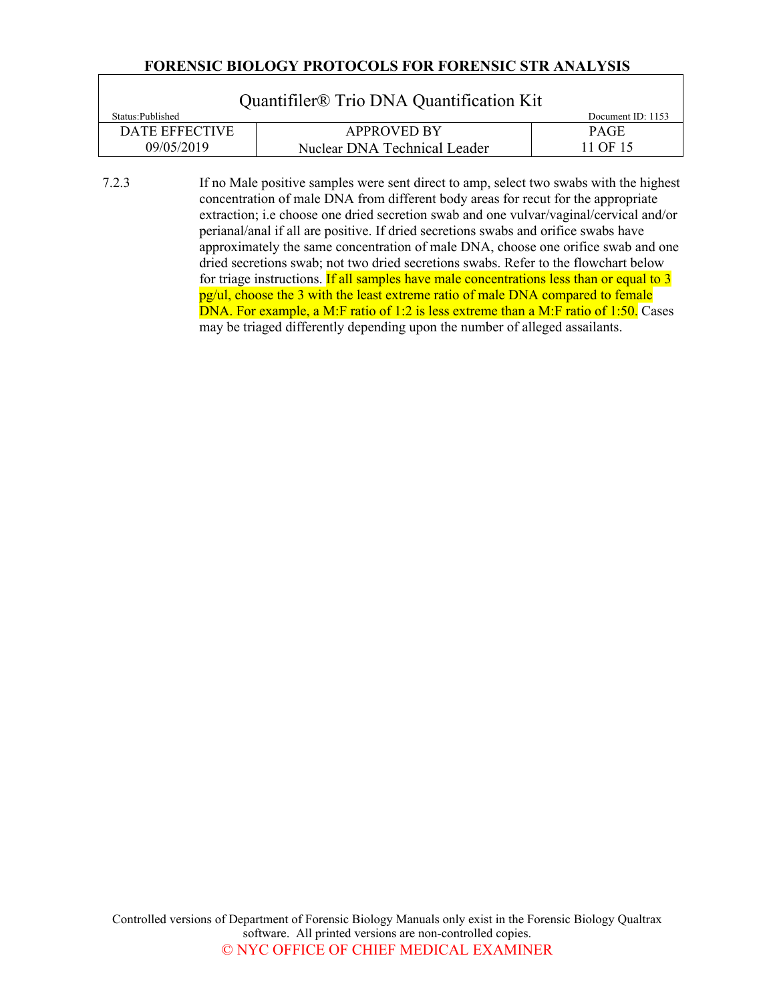$\sqrt{ }$ 

| Quantifiler <sup>®</sup> Trio DNA Quantification Kit |                              |             |  |  |
|------------------------------------------------------|------------------------------|-------------|--|--|
| Status: Published                                    | Document ID: $1153$          |             |  |  |
| DATE EFFECTIVE                                       | <b>APPROVED BY</b>           | <b>PAGE</b> |  |  |
| 09/05/2019                                           | Nuclear DNA Technical Leader | 11 OF 15    |  |  |

7.2.3 If no Male positive samples were sent direct to amp, select two swabs with the highest concentration of male DNA from different body areas for recut for the appropriate extraction; i.e choose one dried secretion swab and one vulvar/vaginal/cervical and/or perianal/anal if all are positive. If dried secretions swabs and orifice swabs have approximately the same concentration of male DNA, choose one orifice swab and one dried secretions swab; not two dried secretions swabs. Refer to the flowchart below for triage instructions. If all samples have male concentrations less than or equal to 3 pg/ul, choose the 3 with the least extreme ratio of male DNA compared to female DNA. For example, a M:F ratio of 1:2 is less extreme than a M:F ratio of 1:50. Cases may be triaged differently depending upon the number of alleged assailants.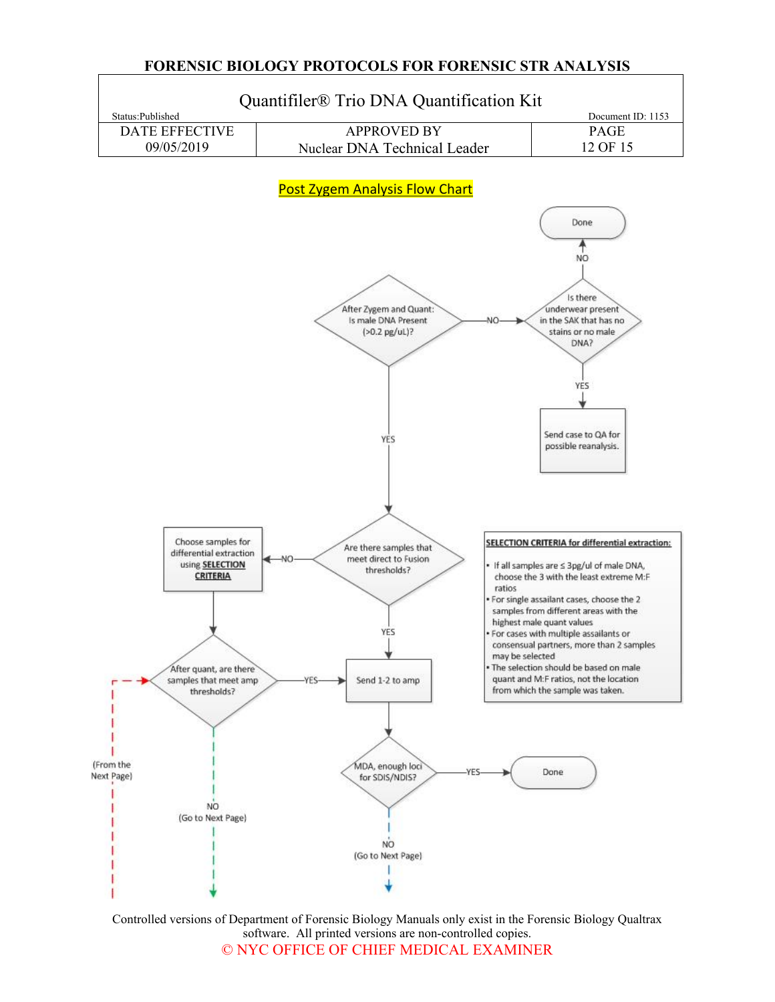

Controlled versions of Department of Forensic Biology Manuals only exist in the Forensic Biology Qualtrax software. All printed versions are non-controlled copies. © NYC OFFICE OF CHIEF MEDICAL EXAMINER

#### **FORENSIC BIOLOGY PROTOCOLS FOR FORENSIC STR ANALYSIS**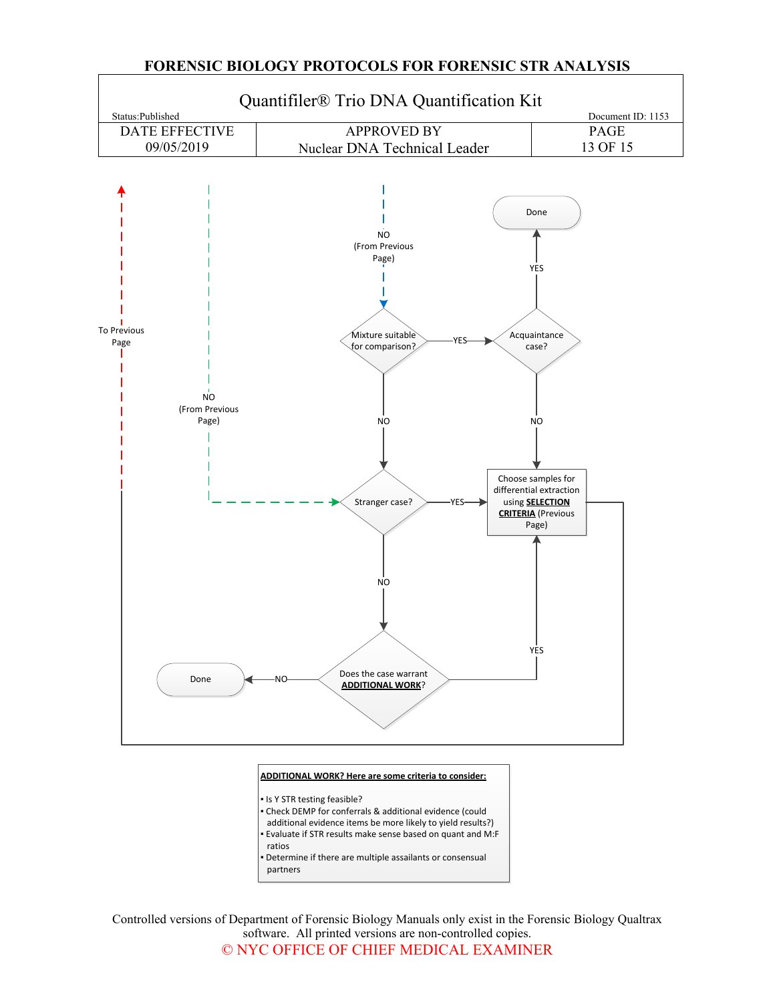

Controlled versions of Department of Forensic Biology Manuals only exist in the Forensic Biology Qualtrax software. All printed versions are non-controlled copies. © NYC OFFICE OF CHIEF MEDICAL EXAMINER

#### **FORENSIC BIOLOGY PROTOCOLS FOR FORENSIC STR ANALYSIS**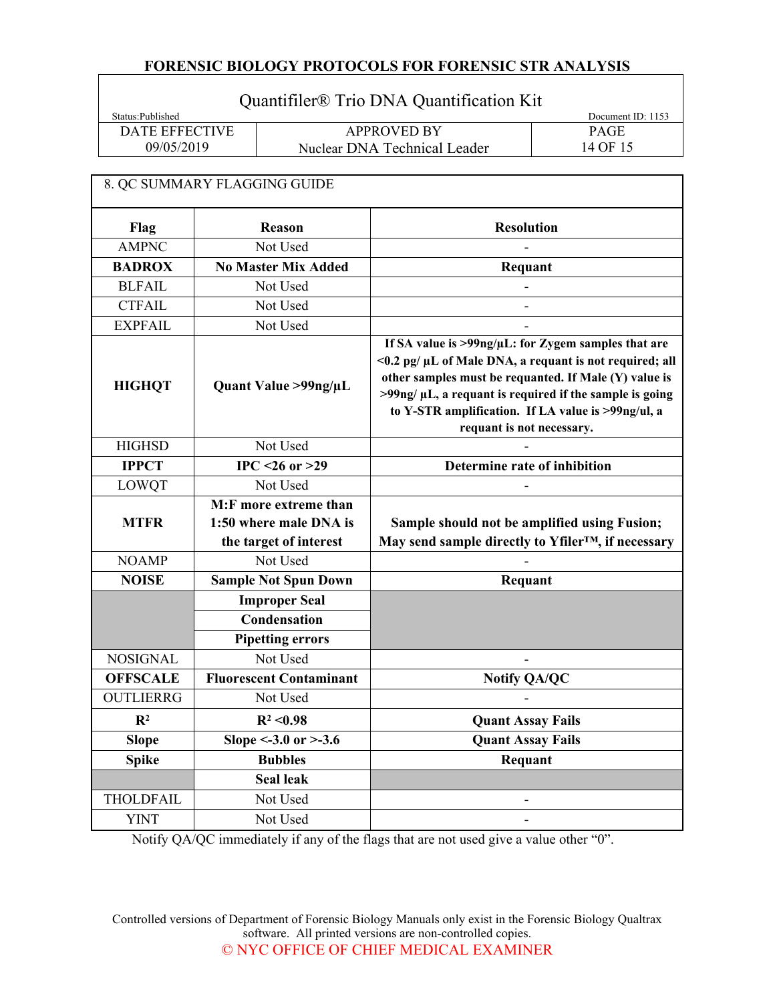# Quantifiler® Trio DNA Quantification Kit

| Status:Published | Document ID: 1153            |          |
|------------------|------------------------------|----------|
| DATE EFFECTIVE   | <b>APPROVED BY</b>           | PAGE     |
| 09/05/2019       | Nuclear DNA Technical Leader | 14 OF 15 |

 $\overline{\phantom{a}}$ 

|                  | 8. QC SUMMARY FLAGGING GUIDE   |                                                                                                                                                                                                                                                                                                                               |  |
|------------------|--------------------------------|-------------------------------------------------------------------------------------------------------------------------------------------------------------------------------------------------------------------------------------------------------------------------------------------------------------------------------|--|
| Flag             | Reason                         | <b>Resolution</b>                                                                                                                                                                                                                                                                                                             |  |
| <b>AMPNC</b>     | Not Used                       |                                                                                                                                                                                                                                                                                                                               |  |
| <b>BADROX</b>    | <b>No Master Mix Added</b>     | Requant                                                                                                                                                                                                                                                                                                                       |  |
| <b>BLFAIL</b>    | Not Used                       |                                                                                                                                                                                                                                                                                                                               |  |
| <b>CTFAIL</b>    | Not Used                       |                                                                                                                                                                                                                                                                                                                               |  |
| <b>EXPFAIL</b>   | Not Used                       |                                                                                                                                                                                                                                                                                                                               |  |
| <b>HIGHQT</b>    | Quant Value >99ng/µL           | If SA value is >99ng/µL: for Zygem samples that are<br><0.2 pg/ µL of Male DNA, a requant is not required; all<br>other samples must be requanted. If Male (Y) value is<br>$>99$ ng/ $\mu$ L, a requant is required if the sample is going<br>to Y-STR amplification. If LA value is >99ng/ul, a<br>requant is not necessary. |  |
| <b>HIGHSD</b>    | Not Used                       |                                                                                                                                                                                                                                                                                                                               |  |
| <b>IPPCT</b>     | $IPC < 26$ or $>29$            | <b>Determine rate of inhibition</b>                                                                                                                                                                                                                                                                                           |  |
| <b>LOWQT</b>     | Not Used                       |                                                                                                                                                                                                                                                                                                                               |  |
|                  | M:F more extreme than          |                                                                                                                                                                                                                                                                                                                               |  |
| <b>MTFR</b>      | 1:50 where male DNA is         | Sample should not be amplified using Fusion;                                                                                                                                                                                                                                                                                  |  |
|                  | the target of interest         | May send sample directly to Yfiler <sup>TM</sup> , if necessary                                                                                                                                                                                                                                                               |  |
| <b>NOAMP</b>     | Not Used                       |                                                                                                                                                                                                                                                                                                                               |  |
| <b>NOISE</b>     | <b>Sample Not Spun Down</b>    | Requant                                                                                                                                                                                                                                                                                                                       |  |
|                  | <b>Improper Seal</b>           |                                                                                                                                                                                                                                                                                                                               |  |
|                  | Condensation                   |                                                                                                                                                                                                                                                                                                                               |  |
|                  | <b>Pipetting errors</b>        |                                                                                                                                                                                                                                                                                                                               |  |
| <b>NOSIGNAL</b>  | Not Used                       |                                                                                                                                                                                                                                                                                                                               |  |
| <b>OFFSCALE</b>  | <b>Fluorescent Contaminant</b> | <b>Notify QA/QC</b>                                                                                                                                                                                                                                                                                                           |  |
| <b>OUTLIERRG</b> | Not Used                       |                                                                                                                                                                                                                                                                                                                               |  |
| $\mathbb{R}^2$   | $R^2 < 0.98$                   | <b>Quant Assay Fails</b>                                                                                                                                                                                                                                                                                                      |  |
| <b>Slope</b>     | Slope <- $3.0$ or $>$ - $3.6$  | <b>Quant Assay Fails</b>                                                                                                                                                                                                                                                                                                      |  |
| <b>Spike</b>     | <b>Bubbles</b>                 | Requant                                                                                                                                                                                                                                                                                                                       |  |
|                  | <b>Seal leak</b>               |                                                                                                                                                                                                                                                                                                                               |  |
| <b>THOLDFAIL</b> | Not Used                       |                                                                                                                                                                                                                                                                                                                               |  |
| <b>YINT</b>      | Not Used                       |                                                                                                                                                                                                                                                                                                                               |  |

Notify QA/QC immediately if any of the flags that are not used give a value other "0".